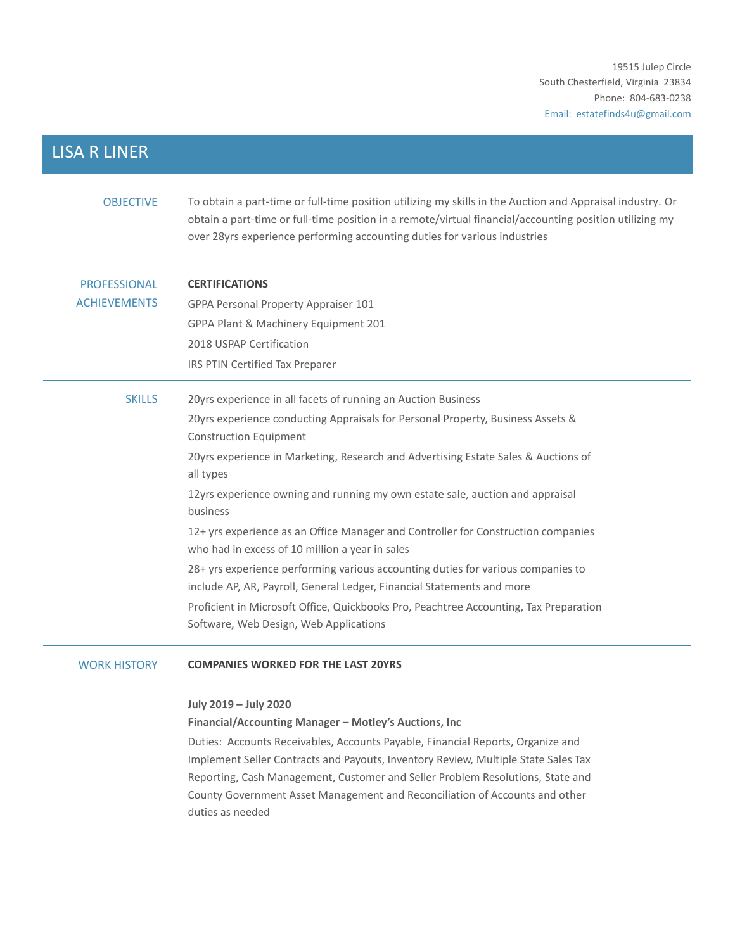# LISA R LINER

| <b>OBJECTIVE</b>    | To obtain a part-time or full-time position utilizing my skills in the Auction and Appraisal industry. Or<br>obtain a part-time or full-time position in a remote/virtual financial/accounting position utilizing my<br>over 28yrs experience performing accounting duties for various industries |
|---------------------|---------------------------------------------------------------------------------------------------------------------------------------------------------------------------------------------------------------------------------------------------------------------------------------------------|
| <b>PROFESSIONAL</b> | <b>CERTIFICATIONS</b>                                                                                                                                                                                                                                                                             |
| <b>ACHIEVEMENTS</b> | GPPA Personal Property Appraiser 101                                                                                                                                                                                                                                                              |
|                     | GPPA Plant & Machinery Equipment 201                                                                                                                                                                                                                                                              |
|                     | 2018 USPAP Certification                                                                                                                                                                                                                                                                          |
|                     | IRS PTIN Certified Tax Preparer                                                                                                                                                                                                                                                                   |
| <b>SKILLS</b>       | 20yrs experience in all facets of running an Auction Business                                                                                                                                                                                                                                     |
|                     | 20yrs experience conducting Appraisals for Personal Property, Business Assets &                                                                                                                                                                                                                   |
|                     | <b>Construction Equipment</b>                                                                                                                                                                                                                                                                     |
|                     | 20yrs experience in Marketing, Research and Advertising Estate Sales & Auctions of<br>all types                                                                                                                                                                                                   |
|                     | 12yrs experience owning and running my own estate sale, auction and appraisal<br>business                                                                                                                                                                                                         |
|                     | 12+ yrs experience as an Office Manager and Controller for Construction companies<br>who had in excess of 10 million a year in sales                                                                                                                                                              |
|                     | 28+ yrs experience performing various accounting duties for various companies to                                                                                                                                                                                                                  |
|                     | include AP, AR, Payroll, General Ledger, Financial Statements and more                                                                                                                                                                                                                            |
|                     | Proficient in Microsoft Office, Quickbooks Pro, Peachtree Accounting, Tax Preparation                                                                                                                                                                                                             |
|                     | Software, Web Design, Web Applications                                                                                                                                                                                                                                                            |

# WORK HISTORY **COMPANIES WORKED FOR THE LAST 20YRS**

# **July 2019 – July 2020**

# **Financial/Accounting Manager – Motley's Auctions, Inc**

Duties: Accounts Receivables, Accounts Payable, Financial Reports, Organize and Implement Seller Contracts and Payouts, Inventory Review, Multiple State Sales Tax Reporting, Cash Management, Customer and Seller Problem Resolutions, State and County Government Asset Management and Reconciliation of Accounts and other duties as needed